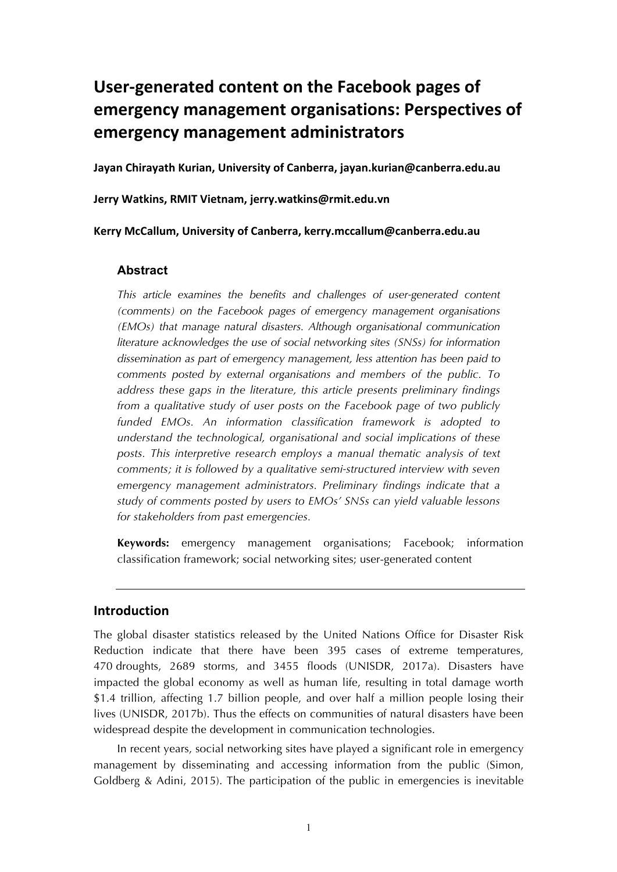# User-generated content on the Facebook pages of **emergency management organisations: Perspectives of emergency management administrators**

**Jayan Chirayath Kurian, University of Canberra, [jayan.kurian@canberra.edu.au](mailto:jayan.kurian@canberra.edu.au)**

**Jerry Watkins, RMIT Vietnam, [jerry.watkins@rmit.edu.vn](mailto:jayan.kurian@canberra.edu.au)**

**Kerry McCallum, University of Canberra, [kerry.mccallum@canberra.edu.au](mailto:jayan.kurian@canberra.edu.au)**

#### **Abstract**

*This article examines the benefits and challenges of user-generated content (comments) on the Facebook pages of emergency management organisations (EMOs) that manage natural disasters. Although organisational communication literature acknowledges the use of social networking sites (SNSs) for information dissemination as part of emergency management, less attention has been paid to comments posted by external organisations and members of the public. To address these gaps in the literature, this article presents preliminary findings from a qualitative study of user posts on the Facebook page of two publicly funded EMOs. An information classification framework is adopted to understand the technological, organisational and social implications of these posts. This interpretive research employs a manual thematic analysis of text comments; it is followed by a qualitative semi-structured interview with seven emergency management administrators. Preliminary findings indicate that a study of comments posted by users to EMOs' SNSs can yield valuable lessons for stakeholders from past emergencies.*

**Keywords:** emergency management organisations; Facebook; information classification framework; social networking sites; user-generated content

#### **Introduction**

The global disaster statistics released by the United Nations Office for Disaster Risk Reduction indicate that there have been 395 cases of extreme temperatures, 470 droughts, 2689 storms, and 3455 floods (UNISDR, 2017a). Disasters have impacted the global economy as well as human life, resulting in total damage worth \$1.4 trillion, affecting 1.7 billion people, and over half a million people losing their lives (UNISDR, 2017b). Thus the effects on communities of natural disasters have been widespread despite the development in communication technologies.

In recent years, social networking sites have played a significant role in emergency management by disseminating and accessing information from the public (Simon, Goldberg & Adini, 2015). The participation of the public in emergencies is inevitable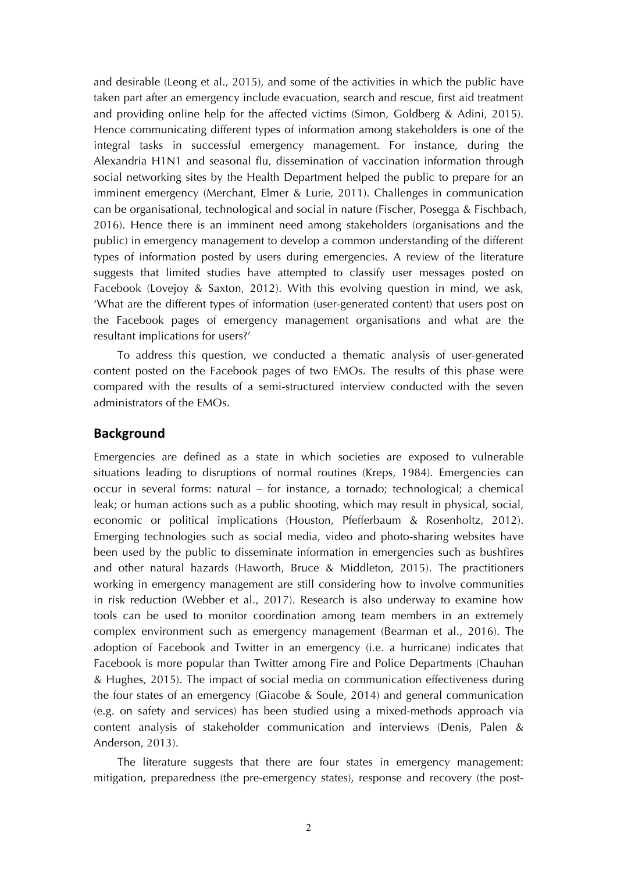and desirable (Leong et al., 2015), and some of the activities in which the public have taken part after an emergency include evacuation, search and rescue, first aid treatment and providing online help for the affected victims (Simon, Goldberg & Adini, 2015). Hence communicating different types of information among stakeholders is one of the integral tasks in successful emergency management. For instance, during the Alexandria H1N1 and seasonal flu, dissemination of vaccination information through social networking sites by the Health Department helped the public to prepare for an imminent emergency (Merchant, Elmer & Lurie, 2011). Challenges in communication can be organisational, technological and social in nature (Fischer, Posegga & Fischbach, 2016). Hence there is an imminent need among stakeholders (organisations and the public) in emergency management to develop a common understanding of the different types of information posted by users during emergencies. A review of the literature suggests that limited studies have attempted to classify user messages posted on Facebook (Lovejoy & Saxton, 2012). With this evolving question in mind, we ask, 'What are the different types of information (user-generated content) that users post on the Facebook pages of emergency management organisations and what are the resultant implications for users?'

To address this question, we conducted a thematic analysis of user-generated content posted on the Facebook pages of two EMOs. The results of this phase were compared with the results of a semi-structured interview conducted with the seven administrators of the EMOs.

#### **Background**

Emergencies are defined as a state in which societies are exposed to vulnerable situations leading to disruptions of normal routines (Kreps, 1984). Emergencies can occur in several forms: natural – for instance, a tornado; technological; a chemical leak; or human actions such as a public shooting, which may result in physical, social, economic or political implications (Houston, Pfefferbaum & Rosenholtz, 2012). Emerging technologies such as social media, video and photo-sharing websites have been used by the public to disseminate information in emergencies such as bushfires and other natural hazards (Haworth, Bruce & Middleton, 2015). The practitioners working in emergency management are still considering how to involve communities in risk reduction (Webber et al., 2017). Research is also underway to examine how tools can be used to monitor coordination among team members in an extremely complex environment such as emergency management (Bearman et al., 2016). The adoption of Facebook and Twitter in an emergency (i.e. a hurricane) indicates that Facebook is more popular than Twitter among Fire and Police Departments (Chauhan & Hughes, 2015). The impact of social media on communication effectiveness during the four states of an emergency (Giacobe & Soule, 2014) and general communication (e.g. on safety and services) has been studied using a mixed-methods approach via content analysis of stakeholder communication and interviews (Denis, Palen & Anderson, 2013).

The literature suggests that there are four states in emergency management: mitigation, preparedness (the pre-emergency states), response and recovery (the post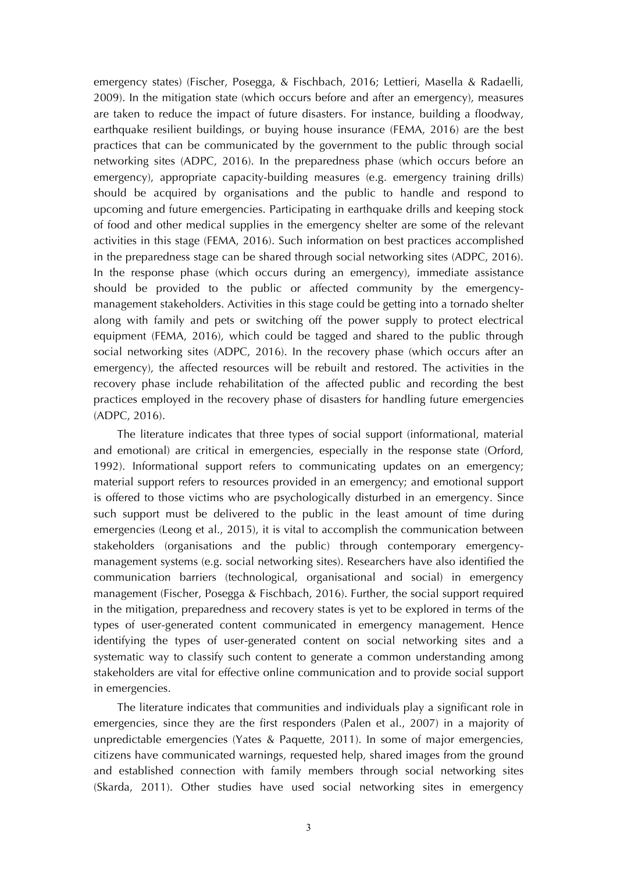emergency states) (Fischer, Posegga, & Fischbach, 2016; Lettieri, Masella & Radaelli, 2009). In the mitigation state (which occurs before and after an emergency), measures are taken to reduce the impact of future disasters. For instance, building a floodway, earthquake resilient buildings, or buying house insurance (FEMA, 2016) are the best practices that can be communicated by the government to the public through social networking sites (ADPC, 2016). In the preparedness phase (which occurs before an emergency), appropriate capacity-building measures (e.g. emergency training drills) should be acquired by organisations and the public to handle and respond to upcoming and future emergencies. Participating in earthquake drills and keeping stock of food and other medical supplies in the emergency shelter are some of the relevant activities in this stage (FEMA, 2016). Such information on best practices accomplished in the preparedness stage can be shared through social networking sites (ADPC, 2016). In the response phase (which occurs during an emergency), immediate assistance should be provided to the public or affected community by the emergencymanagement stakeholders. Activities in this stage could be getting into a tornado shelter along with family and pets or switching off the power supply to protect electrical equipment (FEMA, 2016), which could be tagged and shared to the public through social networking sites (ADPC, 2016). In the recovery phase (which occurs after an emergency), the affected resources will be rebuilt and restored. The activities in the recovery phase include rehabilitation of the affected public and recording the best practices employed in the recovery phase of disasters for handling future emergencies (ADPC, 2016).

The literature indicates that three types of social support (informational, material and emotional) are critical in emergencies, especially in the response state (Orford, 1992). Informational support refers to communicating updates on an emergency; material support refers to resources provided in an emergency; and emotional support is offered to those victims who are psychologically disturbed in an emergency. Since such support must be delivered to the public in the least amount of time during emergencies (Leong et al., 2015), it is vital to accomplish the communication between stakeholders (organisations and the public) through contemporary emergencymanagement systems (e.g. social networking sites). Researchers have also identified the communication barriers (technological, organisational and social) in emergency management (Fischer, Posegga & Fischbach, 2016). Further, the social support required in the mitigation, preparedness and recovery states is yet to be explored in terms of the types of user-generated content communicated in emergency management. Hence identifying the types of user-generated content on social networking sites and a systematic way to classify such content to generate a common understanding among stakeholders are vital for effective online communication and to provide social support in emergencies.

The literature indicates that communities and individuals play a significant role in emergencies, since they are the first responders (Palen et al., 2007) in a majority of unpredictable emergencies (Yates & Paquette, 2011). In some of major emergencies, citizens have communicated warnings, requested help, shared images from the ground and established connection with family members through social networking sites (Skarda, 2011). Other studies have used social networking sites in emergency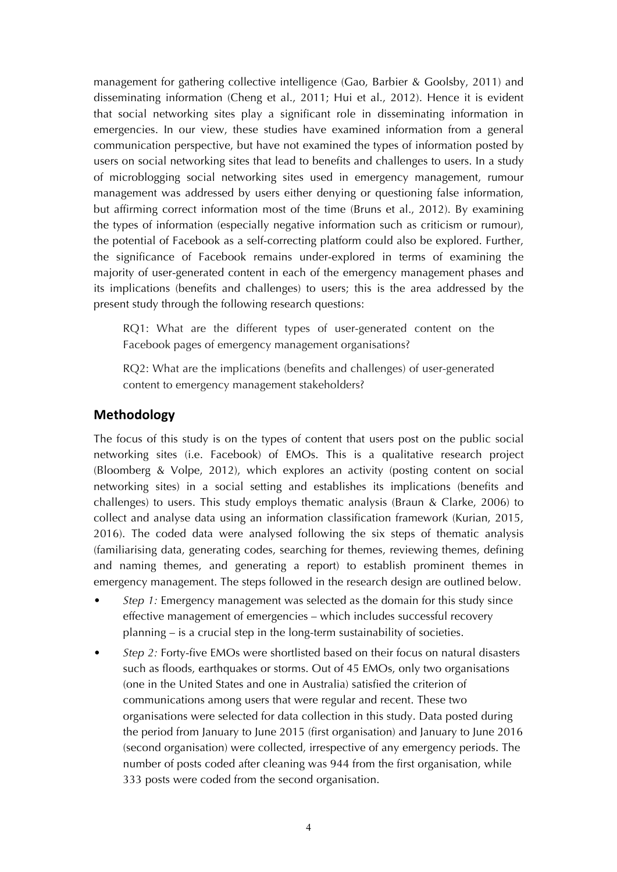management for gathering collective intelligence (Gao, Barbier & Goolsby, 2011) and disseminating information (Cheng et al., 2011; Hui et al., 2012). Hence it is evident that social networking sites play a significant role in disseminating information in emergencies. In our view, these studies have examined information from a general communication perspective, but have not examined the types of information posted by users on social networking sites that lead to benefits and challenges to users. In a study of microblogging social networking sites used in emergency management, rumour management was addressed by users either denying or questioning false information, but affirming correct information most of the time (Bruns et al., 2012). By examining the types of information (especially negative information such as criticism or rumour), the potential of Facebook as a self-correcting platform could also be explored. Further, the significance of Facebook remains under-explored in terms of examining the majority of user-generated content in each of the emergency management phases and its implications (benefits and challenges) to users; this is the area addressed by the present study through the following research questions:

RQ1: What are the different types of user-generated content on the Facebook pages of emergency management organisations?

RQ2: What are the implications (benefits and challenges) of user-generated content to emergency management stakeholders?

### **Methodology**

The focus of this study is on the types of content that users post on the public social networking sites (i.e. Facebook) of EMOs. This is a qualitative research project (Bloomberg & Volpe, 2012), which explores an activity (posting content on social networking sites) in a social setting and establishes its implications (benefits and challenges) to users. This study employs thematic analysis (Braun & Clarke, 2006) to collect and analyse data using an information classification framework (Kurian, 2015, 2016). The coded data were analysed following the six steps of thematic analysis (familiarising data, generating codes, searching for themes, reviewing themes, defining and naming themes, and generating a report) to establish prominent themes in emergency management. The steps followed in the research design are outlined below.

- *Step 1:* Emergency management was selected as the domain for this study since effective management of emergencies – which includes successful recovery planning – is a crucial step in the long-term sustainability of societies.
- *Step 2:* Forty-five EMOs were shortlisted based on their focus on natural disasters such as floods, earthquakes or storms. Out of 45 EMOs, only two organisations (one in the United States and one in Australia) satisfied the criterion of communications among users that were regular and recent. These two organisations were selected for data collection in this study. Data posted during the period from January to June 2015 (first organisation) and January to June 2016 (second organisation) were collected, irrespective of any emergency periods. The number of posts coded after cleaning was 944 from the first organisation, while 333 posts were coded from the second organisation.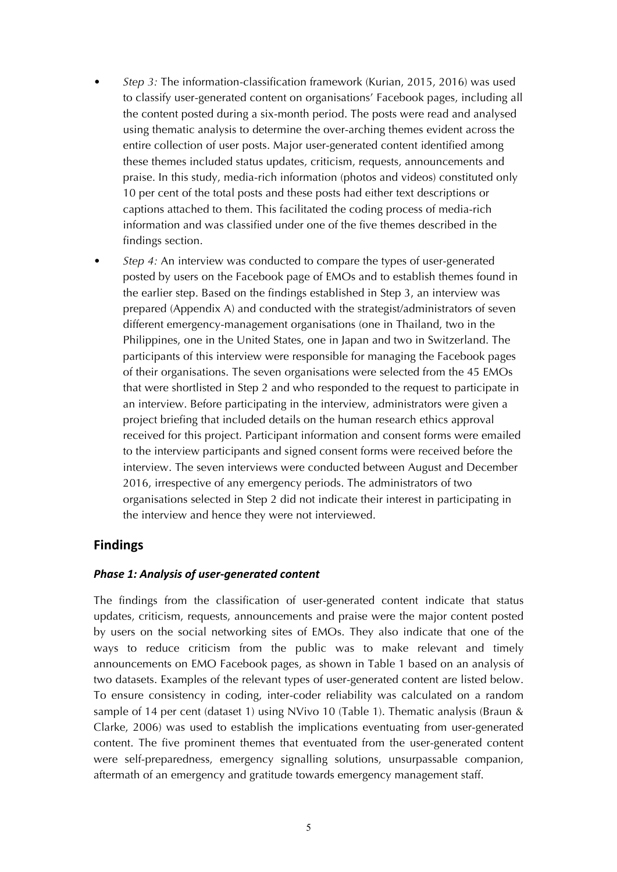- *Step 3:* The information-classification framework (Kurian, 2015, 2016) was used to classify user-generated content on organisations' Facebook pages, including all the content posted during a six-month period. The posts were read and analysed using thematic analysis to determine the over-arching themes evident across the entire collection of user posts. Major user-generated content identified among these themes included status updates, criticism, requests, announcements and praise. In this study, media-rich information (photos and videos) constituted only 10 per cent of the total posts and these posts had either text descriptions or captions attached to them. This facilitated the coding process of media-rich information and was classified under one of the five themes described in the findings section.
- *Step 4:* An interview was conducted to compare the types of user-generated posted by users on the Facebook page of EMOs and to establish themes found in the earlier step. Based on the findings established in Step 3, an interview was prepared (Appendix A) and conducted with the strategist/administrators of seven different emergency-management organisations (one in Thailand, two in the Philippines, one in the United States, one in Japan and two in Switzerland. The participants of this interview were responsible for managing the Facebook pages of their organisations. The seven organisations were selected from the 45 EMOs that were shortlisted in Step 2 and who responded to the request to participate in an interview. Before participating in the interview, administrators were given a project briefing that included details on the human research ethics approval received for this project. Participant information and consent forms were emailed to the interview participants and signed consent forms were received before the interview. The seven interviews were conducted between August and December 2016, irrespective of any emergency periods. The administrators of two organisations selected in Step 2 did not indicate their interest in participating in the interview and hence they were not interviewed.

#### **Findings**

#### *Phase 1: Analysis of user-generated content*

The findings from the classification of user-generated content indicate that status updates, criticism, requests, announcements and praise were the major content posted by users on the social networking sites of EMOs. They also indicate that one of the ways to reduce criticism from the public was to make relevant and timely announcements on EMO Facebook pages, as shown in Table 1 based on an analysis of two datasets. Examples of the relevant types of user-generated content are listed below. To ensure consistency in coding, inter-coder reliability was calculated on a random sample of 14 per cent (dataset 1) using NVivo 10 (Table 1). Thematic analysis (Braun & Clarke, 2006) was used to establish the implications eventuating from user-generated content. The five prominent themes that eventuated from the user-generated content were self-preparedness, emergency signalling solutions, unsurpassable companion, aftermath of an emergency and gratitude towards emergency management staff.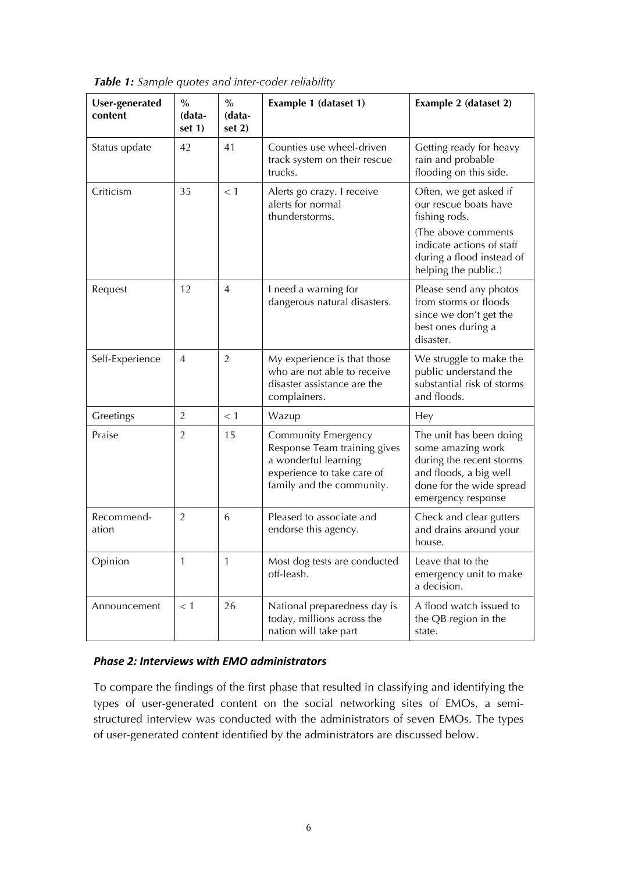| <b>User-generated</b><br>content | $\frac{0}{0}$<br>(data-<br>set $1)$ | $\frac{0}{0}$<br>(data-<br>set $2)$ | Example 1 (dataset 1)                                                                                                                  | Example 2 (dataset 2)                                                                                                                                                     |  |
|----------------------------------|-------------------------------------|-------------------------------------|----------------------------------------------------------------------------------------------------------------------------------------|---------------------------------------------------------------------------------------------------------------------------------------------------------------------------|--|
| Status update                    | 42                                  | 41                                  | Counties use wheel-driven<br>track system on their rescue<br>trucks.                                                                   | Getting ready for heavy<br>rain and probable<br>flooding on this side.                                                                                                    |  |
| Criticism                        | 35                                  | < 1                                 | Alerts go crazy. I receive<br>alerts for normal<br>thunderstorms.                                                                      | Often, we get asked if<br>our rescue boats have<br>fishing rods.<br>(The above comments<br>indicate actions of staff<br>during a flood instead of<br>helping the public.) |  |
| Request                          | 12                                  | $\overline{4}$                      | I need a warning for<br>dangerous natural disasters.                                                                                   | Please send any photos<br>from storms or floods<br>since we don't get the<br>best ones during a<br>disaster.                                                              |  |
| Self-Experience                  | $\overline{4}$                      | $\overline{2}$                      | My experience is that those<br>who are not able to receive<br>disaster assistance are the<br>complainers.                              | We struggle to make the<br>public understand the<br>substantial risk of storms<br>and floods.                                                                             |  |
| Greetings                        | $\overline{2}$                      | < 1                                 | Wazup                                                                                                                                  | Hey                                                                                                                                                                       |  |
| Praise                           | $\overline{2}$                      | 15                                  | Community Emergency<br>Response Team training gives<br>a wonderful learning<br>experience to take care of<br>family and the community. | The unit has been doing<br>some amazing work<br>during the recent storms<br>and floods, a big well<br>done for the wide spread<br>emergency response                      |  |
| Recommend-<br>ation              | $\overline{2}$                      | 6                                   | Pleased to associate and<br>endorse this agency.                                                                                       | Check and clear gutters<br>and drains around your<br>house.                                                                                                               |  |
| Opinion                          | 1                                   | 1                                   | Most dog tests are conducted<br>off-leash.                                                                                             | Leave that to the<br>emergency unit to make<br>a decision.                                                                                                                |  |
| Announcement                     | $<$ 1                               | 26                                  | National preparedness day is<br>today, millions across the<br>nation will take part                                                    | A flood watch issued to<br>the QB region in the<br>state.                                                                                                                 |  |

*Table 1: Sample quotes and inter-coder reliability*

#### *Phase 2: Interviews with EMO administrators*

To compare the findings of the first phase that resulted in classifying and identifying the types of user-generated content on the social networking sites of EMOs, a semistructured interview was conducted with the administrators of seven EMOs. The types of user-generated content identified by the administrators are discussed below.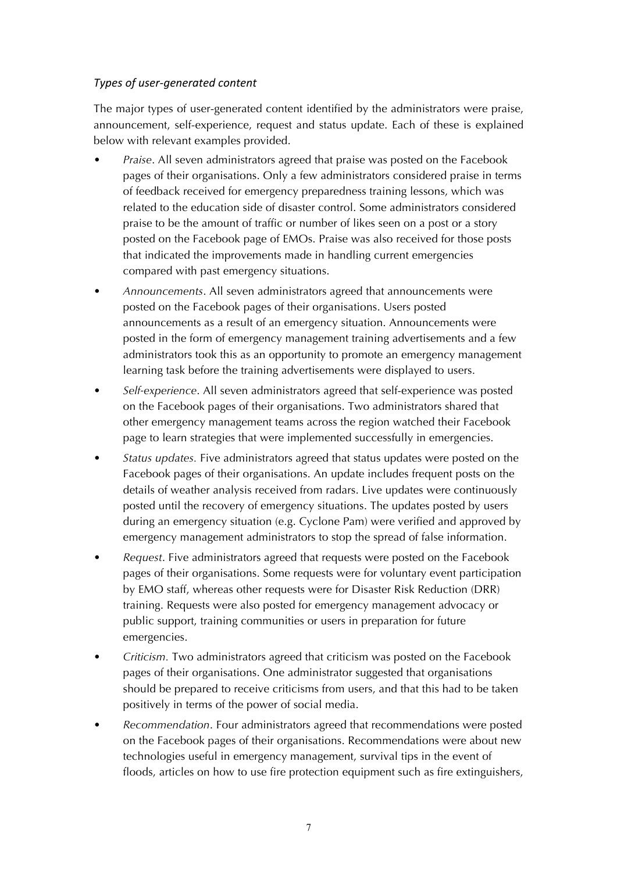#### *Types of user-generated content*

The major types of user-generated content identified by the administrators were praise, announcement, self-experience, request and status update. Each of these is explained below with relevant examples provided.

- *Praise*. All seven administrators agreed that praise was posted on the Facebook pages of their organisations. Only a few administrators considered praise in terms of feedback received for emergency preparedness training lessons, which was related to the education side of disaster control. Some administrators considered praise to be the amount of traffic or number of likes seen on a post or a story posted on the Facebook page of EMOs. Praise was also received for those posts that indicated the improvements made in handling current emergencies compared with past emergency situations.
- *Announcements*. All seven administrators agreed that announcements were posted on the Facebook pages of their organisations. Users posted announcements as a result of an emergency situation. Announcements were posted in the form of emergency management training advertisements and a few administrators took this as an opportunity to promote an emergency management learning task before the training advertisements were displayed to users.
- *Self-experience*. All seven administrators agreed that self-experience was posted on the Facebook pages of their organisations. Two administrators shared that other emergency management teams across the region watched their Facebook page to learn strategies that were implemented successfully in emergencies.
- *Status updates.* Five administrators agreed that status updates were posted on the Facebook pages of their organisations. An update includes frequent posts on the details of weather analysis received from radars. Live updates were continuously posted until the recovery of emergency situations. The updates posted by users during an emergency situation (e.g. Cyclone Pam) were verified and approved by emergency management administrators to stop the spread of false information.
- *Request*. Five administrators agreed that requests were posted on the Facebook pages of their organisations. Some requests were for voluntary event participation by EMO staff, whereas other requests were for Disaster Risk Reduction (DRR) training. Requests were also posted for emergency management advocacy or public support, training communities or users in preparation for future emergencies.
- *Criticism.* Two administrators agreed that criticism was posted on the Facebook pages of their organisations. One administrator suggested that organisations should be prepared to receive criticisms from users, and that this had to be taken positively in terms of the power of social media.
- *Recommendation*. Four administrators agreed that recommendations were posted on the Facebook pages of their organisations. Recommendations were about new technologies useful in emergency management, survival tips in the event of floods, articles on how to use fire protection equipment such as fire extinguishers,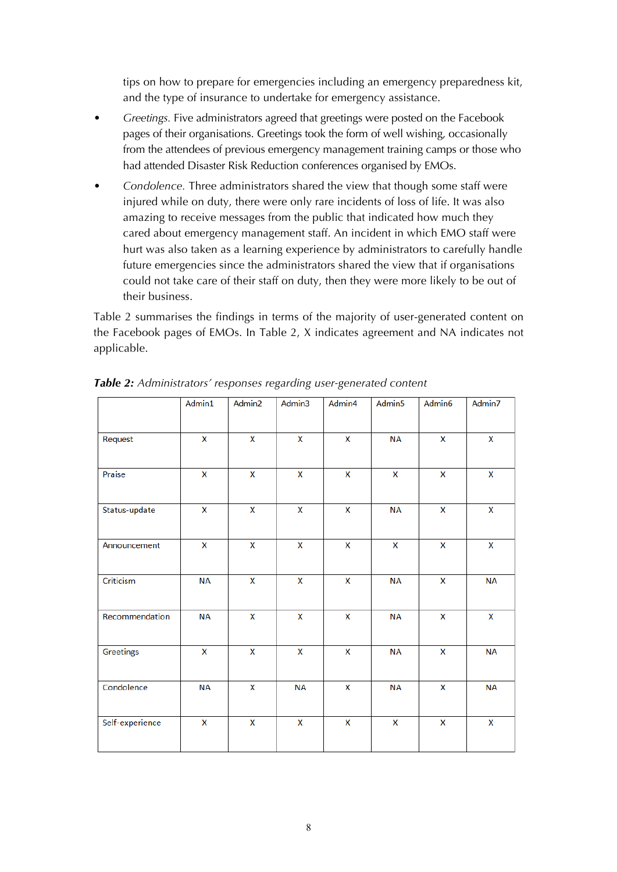tips on how to prepare for emergencies including an emergency preparedness kit, and the type of insurance to undertake for emergency assistance.

- *Greetings.* Five administrators agreed that greetings were posted on the Facebook pages of their organisations. Greetings took the form of well wishing, occasionally from the attendees of previous emergency management training camps or those who had attended Disaster Risk Reduction conferences organised by EMOs.
- *Condolence.* Three administrators shared the view that though some staff were injured while on duty, there were only rare incidents of loss of life. It was also amazing to receive messages from the public that indicated how much they cared about emergency management staff. An incident in which EMO staff were hurt was also taken as a learning experience by administrators to carefully handle future emergencies since the administrators shared the view that if organisations could not take care of their staff on duty, then they were more likely to be out of their business.

Table 2 summarises the findings in terms of the majority of user-generated content on the Facebook pages of EMOs. In Table 2, X indicates agreement and NA indicates not applicable.

|                 | Admin1                  | Admin2 | Admin3    | Admin4 | Admin5    | Admin6 | Admin7    |
|-----------------|-------------------------|--------|-----------|--------|-----------|--------|-----------|
| Request         | $\overline{\mathsf{x}}$ | X      | X         | X      | <b>NA</b> | X      | X         |
| Praise          | X                       | X      | X         | X      | X         | X      | X         |
| Status-update   | X                       | X      | X         | X      | <b>NA</b> | X      | X         |
| Announcement    | X                       | X      | X         | X      | X         | X      | X         |
| Criticism       | <b>NA</b>               | X      | X         | X      | <b>NA</b> | X      | <b>NA</b> |
| Recommendation  | <b>NA</b>               | X      | X         | X      | <b>NA</b> | X      | X         |
| Greetings       | X                       | X      | X         | X      | <b>NA</b> | X      | <b>NA</b> |
| Condolence      | <b>NA</b>               | X      | <b>NA</b> | X      | <b>NA</b> | X      | <b>NA</b> |
| Self-experience | X                       | X      | X         | X      | X         | X      | X         |

*Table 2: Administrators' responses regarding user-generated content*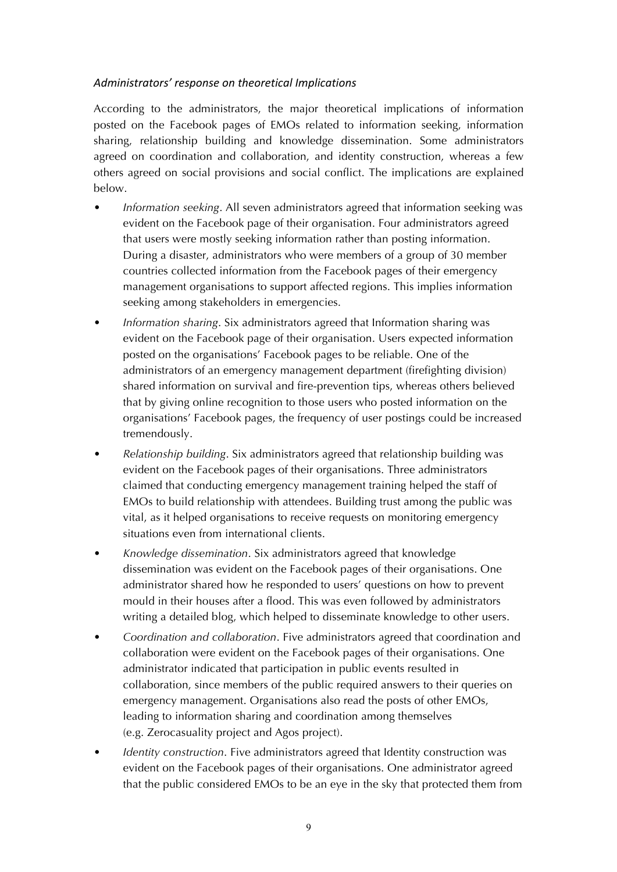#### *Administrators' response on theoretical Implications*

According to the administrators, the major theoretical implications of information posted on the Facebook pages of EMOs related to information seeking, information sharing, relationship building and knowledge dissemination. Some administrators agreed on coordination and collaboration, and identity construction, whereas a few others agreed on social provisions and social conflict. The implications are explained below.

- *Information seeking*. All seven administrators agreed that information seeking was evident on the Facebook page of their organisation. Four administrators agreed that users were mostly seeking information rather than posting information. During a disaster, administrators who were members of a group of 30 member countries collected information from the Facebook pages of their emergency management organisations to support affected regions. This implies information seeking among stakeholders in emergencies.
- *Information sharing*. Six administrators agreed that Information sharing was evident on the Facebook page of their organisation. Users expected information posted on the organisations' Facebook pages to be reliable. One of the administrators of an emergency management department (firefighting division) shared information on survival and fire-prevention tips, whereas others believed that by giving online recognition to those users who posted information on the organisations' Facebook pages, the frequency of user postings could be increased tremendously.
- *Relationship building*. Six administrators agreed that relationship building was evident on the Facebook pages of their organisations. Three administrators claimed that conducting emergency management training helped the staff of EMOs to build relationship with attendees. Building trust among the public was vital, as it helped organisations to receive requests on monitoring emergency situations even from international clients.
- *Knowledge dissemination*. Six administrators agreed that knowledge dissemination was evident on the Facebook pages of their organisations. One administrator shared how he responded to users' questions on how to prevent mould in their houses after a flood. This was even followed by administrators writing a detailed blog, which helped to disseminate knowledge to other users.
- *Coordination and collaboration*. Five administrators agreed that coordination and collaboration were evident on the Facebook pages of their organisations. One administrator indicated that participation in public events resulted in collaboration, since members of the public required answers to their queries on emergency management. Organisations also read the posts of other EMOs, leading to information sharing and coordination among themselves (e.g. Zerocasuality project and Agos project).
- *Identity construction*. Five administrators agreed that Identity construction was evident on the Facebook pages of their organisations. One administrator agreed that the public considered EMOs to be an eye in the sky that protected them from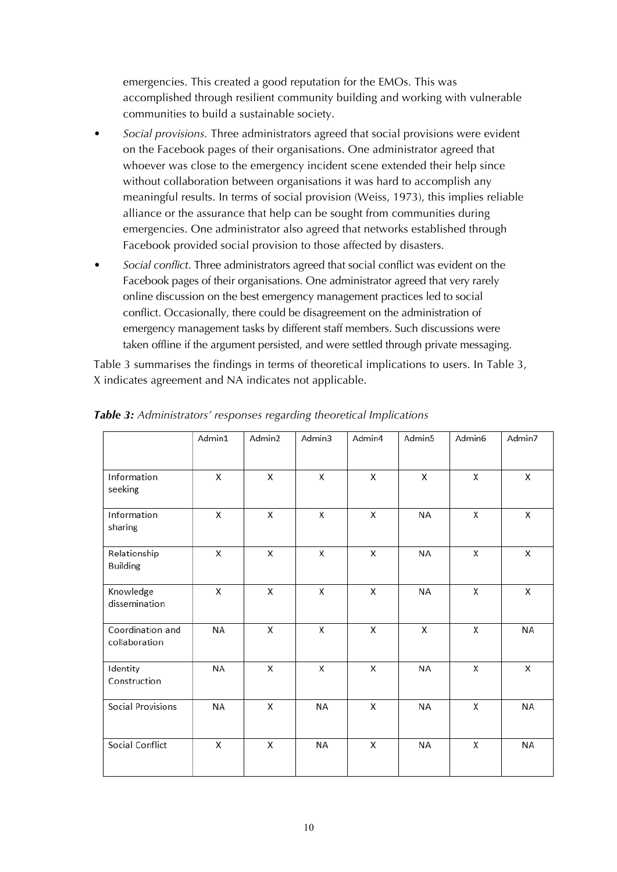emergencies. This created a good reputation for the EMOs. This was accomplished through resilient community building and working with vulnerable communities to build a sustainable society.

- *Social provisions.* Three administrators agreed that social provisions were evident on the Facebook pages of their organisations. One administrator agreed that whoever was close to the emergency incident scene extended their help since without collaboration between organisations it was hard to accomplish any meaningful results. In terms of social provision (Weiss, 1973), this implies reliable alliance or the assurance that help can be sought from communities during emergencies. One administrator also agreed that networks established through Facebook provided social provision to those affected by disasters.
- *Social conflict*. Three administrators agreed that social conflict was evident on the Facebook pages of their organisations. One administrator agreed that very rarely online discussion on the best emergency management practices led to social conflict. Occasionally, there could be disagreement on the administration of emergency management tasks by different staff members. Such discussions were taken offline if the argument persisted, and were settled through private messaging.

Table 3 summarises the findings in terms of theoretical implications to users. In Table 3, X indicates agreement and NA indicates not applicable.

|                                   | Admin1    | Admin2 | Admin3    | Admin4 | Admin5    | Admin <sub>6</sub> | Admin7    |
|-----------------------------------|-----------|--------|-----------|--------|-----------|--------------------|-----------|
| Information<br>seeking            | X         | X      | X         | X      | X         | X                  | X         |
| Information<br>sharing            | X         | X      | X         | X      | <b>NA</b> | X                  | X         |
| Relationship<br><b>Building</b>   | X         | X      | X         | X      | <b>NA</b> | X                  | X         |
| Knowledge<br>dissemination        | X         | X      | X         | X      | <b>NA</b> | X                  | X         |
| Coordination and<br>collaboration | <b>NA</b> | X      | X         | X      | X         | X                  | <b>NA</b> |
| Identity<br>Construction          | <b>NA</b> | X      | X         | X      | <b>NA</b> | X                  | X         |
| <b>Social Provisions</b>          | <b>NA</b> | X      | <b>NA</b> | X      | <b>NA</b> | X                  | <b>NA</b> |
| <b>Social Conflict</b>            | X         | X      | <b>NA</b> | X      | <b>NA</b> | X                  | <b>NA</b> |

*Table 3: Administrators' responses regarding theoretical Implications*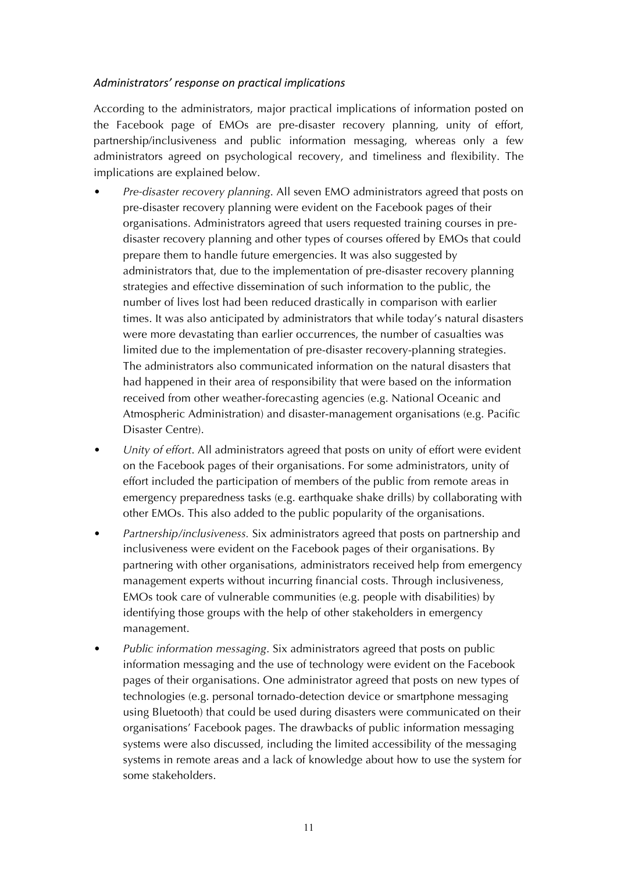#### *Administrators' response on practical implications*

According to the administrators, major practical implications of information posted on the Facebook page of EMOs are pre-disaster recovery planning, unity of effort, partnership/inclusiveness and public information messaging, whereas only a few administrators agreed on psychological recovery, and timeliness and flexibility. The implications are explained below.

- *Pre-disaster recovery planning*. All seven EMO administrators agreed that posts on pre-disaster recovery planning were evident on the Facebook pages of their organisations. Administrators agreed that users requested training courses in predisaster recovery planning and other types of courses offered by EMOs that could prepare them to handle future emergencies. It was also suggested by administrators that, due to the implementation of pre-disaster recovery planning strategies and effective dissemination of such information to the public, the number of lives lost had been reduced drastically in comparison with earlier times. It was also anticipated by administrators that while today's natural disasters were more devastating than earlier occurrences, the number of casualties was limited due to the implementation of pre-disaster recovery-planning strategies. The administrators also communicated information on the natural disasters that had happened in their area of responsibility that were based on the information received from other weather-forecasting agencies (e.g. National Oceanic and Atmospheric Administration) and disaster-management organisations (e.g. Pacific Disaster Centre).
- *Unity of effort*. All administrators agreed that posts on unity of effort were evident on the Facebook pages of their organisations. For some administrators, unity of effort included the participation of members of the public from remote areas in emergency preparedness tasks (e.g. earthquake shake drills) by collaborating with other EMOs. This also added to the public popularity of the organisations.
- *Partnership/inclusiveness.* Six administrators agreed that posts on partnership and inclusiveness were evident on the Facebook pages of their organisations. By partnering with other organisations, administrators received help from emergency management experts without incurring financial costs. Through inclusiveness, EMOs took care of vulnerable communities (e.g. people with disabilities) by identifying those groups with the help of other stakeholders in emergency management.
- *Public information messaging*. Six administrators agreed that posts on public information messaging and the use of technology were evident on the Facebook pages of their organisations. One administrator agreed that posts on new types of technologies (e.g. personal tornado-detection device or smartphone messaging using Bluetooth) that could be used during disasters were communicated on their organisations' Facebook pages. The drawbacks of public information messaging systems were also discussed, including the limited accessibility of the messaging systems in remote areas and a lack of knowledge about how to use the system for some stakeholders.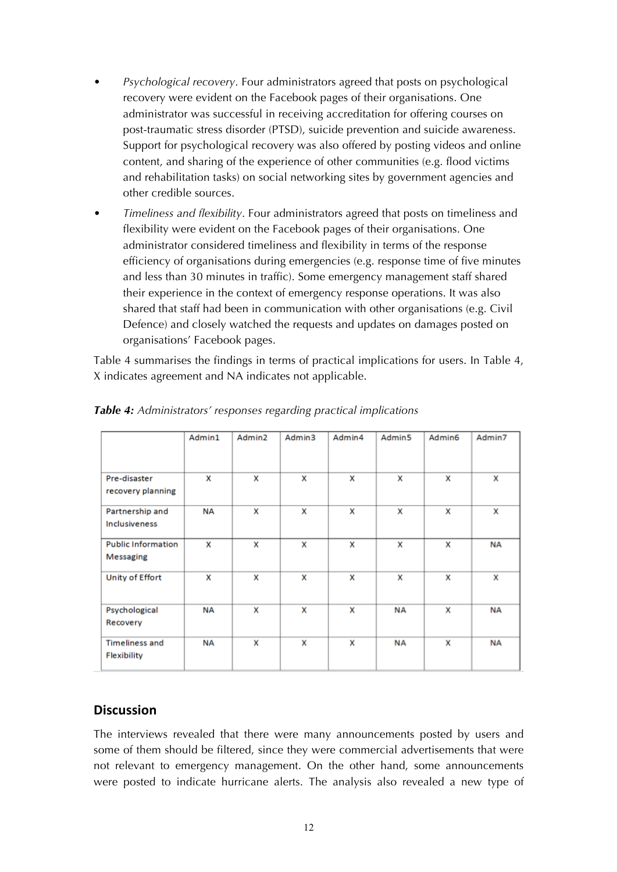- *Psychological recovery*. Four administrators agreed that posts on psychological recovery were evident on the Facebook pages of their organisations. One administrator was successful in receiving accreditation for offering courses on post-traumatic stress disorder (PTSD), suicide prevention and suicide awareness. Support for psychological recovery was also offered by posting videos and online content, and sharing of the experience of other communities (e.g. flood victims and rehabilitation tasks) on social networking sites by government agencies and other credible sources.
- *Timeliness and flexibility*. Four administrators agreed that posts on timeliness and flexibility were evident on the Facebook pages of their organisations. One administrator considered timeliness and flexibility in terms of the response efficiency of organisations during emergencies (e.g. response time of five minutes and less than 30 minutes in traffic). Some emergency management staff shared their experience in the context of emergency response operations. It was also shared that staff had been in communication with other organisations (e.g. Civil Defence) and closely watched the requests and updates on damages posted on organisations' Facebook pages.

Table 4 summarises the findings in terms of practical implications for users. In Table 4, X indicates agreement and NA indicates not applicable.

|                                         | Admin1    | Admin2 | Admin3 | Admin4 | Admin <sub>5</sub> | Admin6 | Admin7    |
|-----------------------------------------|-----------|--------|--------|--------|--------------------|--------|-----------|
|                                         |           |        |        |        |                    |        |           |
| Pre-disaster<br>recovery planning       | x         | x      | x      | x      | x                  | x      | x         |
| Partnership and<br><b>Inclusiveness</b> | <b>NA</b> | x      | X      | X      | x                  | x      | x         |
| <b>Public Information</b><br>Messaging  | x         | x      | x      | X      | x                  | x      | <b>NA</b> |
| Unity of Effort                         | x         | x      | x      | x      | x                  | x      | x         |
| Psychological<br>Recovery               | <b>NA</b> | x      | x      | X      | <b>NA</b>          | x      | <b>NA</b> |
| <b>Timeliness and</b><br>Flexibility    | <b>NA</b> | x      | x      | X      | <b>NA</b>          | x      | <b>NA</b> |

*Table 4: Administrators' responses regarding practical implications*

## **Discussion**

The interviews revealed that there were many announcements posted by users and some of them should be filtered, since they were commercial advertisements that were not relevant to emergency management. On the other hand, some announcements were posted to indicate hurricane alerts. The analysis also revealed a new type of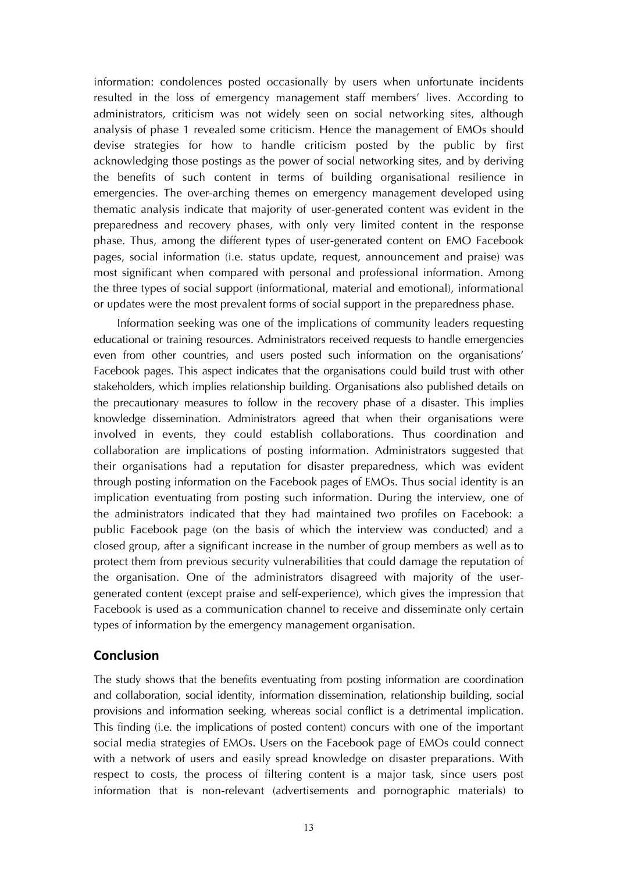information: condolences posted occasionally by users when unfortunate incidents resulted in the loss of emergency management staff members' lives. According to administrators, criticism was not widely seen on social networking sites, although analysis of phase 1 revealed some criticism. Hence the management of EMOs should devise strategies for how to handle criticism posted by the public by first acknowledging those postings as the power of social networking sites, and by deriving the benefits of such content in terms of building organisational resilience in emergencies. The over-arching themes on emergency management developed using thematic analysis indicate that majority of user-generated content was evident in the preparedness and recovery phases, with only very limited content in the response phase. Thus, among the different types of user-generated content on EMO Facebook pages, social information (i.e. status update, request, announcement and praise) was most significant when compared with personal and professional information. Among the three types of social support (informational, material and emotional), informational or updates were the most prevalent forms of social support in the preparedness phase.

Information seeking was one of the implications of community leaders requesting educational or training resources. Administrators received requests to handle emergencies even from other countries, and users posted such information on the organisations' Facebook pages. This aspect indicates that the organisations could build trust with other stakeholders, which implies relationship building. Organisations also published details on the precautionary measures to follow in the recovery phase of a disaster. This implies knowledge dissemination. Administrators agreed that when their organisations were involved in events, they could establish collaborations. Thus coordination and collaboration are implications of posting information. Administrators suggested that their organisations had a reputation for disaster preparedness, which was evident through posting information on the Facebook pages of EMOs. Thus social identity is an implication eventuating from posting such information. During the interview, one of the administrators indicated that they had maintained two profiles on Facebook: a public Facebook page (on the basis of which the interview was conducted) and a closed group, after a significant increase in the number of group members as well as to protect them from previous security vulnerabilities that could damage the reputation of the organisation. One of the administrators disagreed with majority of the usergenerated content (except praise and self-experience), which gives the impression that Facebook is used as a communication channel to receive and disseminate only certain types of information by the emergency management organisation.

#### **Conclusion**

The study shows that the benefits eventuating from posting information are coordination and collaboration, social identity, information dissemination, relationship building, social provisions and information seeking, whereas social conflict is a detrimental implication. This finding (i.e. the implications of posted content) concurs with one of the important social media strategies of EMOs. Users on the Facebook page of EMOs could connect with a network of users and easily spread knowledge on disaster preparations. With respect to costs, the process of filtering content is a major task, since users post information that is non-relevant (advertisements and pornographic materials) to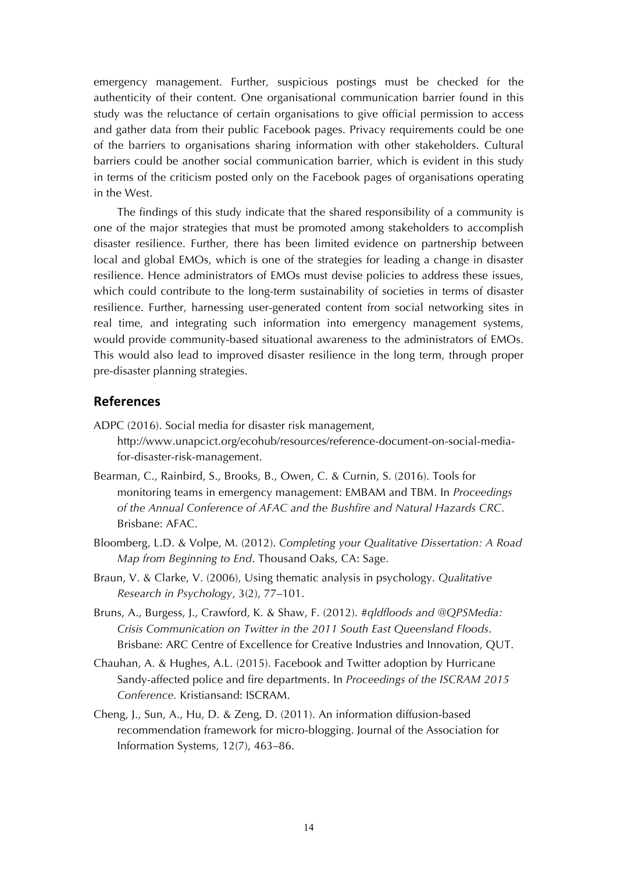emergency management. Further, suspicious postings must be checked for the authenticity of their content. One organisational communication barrier found in this study was the reluctance of certain organisations to give official permission to access and gather data from their public Facebook pages. Privacy requirements could be one of the barriers to organisations sharing information with other stakeholders. Cultural barriers could be another social communication barrier, which is evident in this study in terms of the criticism posted only on the Facebook pages of organisations operating in the West.

The findings of this study indicate that the shared responsibility of a community is one of the major strategies that must be promoted among stakeholders to accomplish disaster resilience. Further, there has been limited evidence on partnership between local and global EMOs, which is one of the strategies for leading a change in disaster resilience. Hence administrators of EMOs must devise policies to address these issues, which could contribute to the long-term sustainability of societies in terms of disaster resilience. Further, harnessing user-generated content from social networking sites in real time, and integrating such information into emergency management systems, would provide community-based situational awareness to the administrators of EMOs. This would also lead to improved disaster resilience in the long term, through proper pre-disaster planning strategies.

#### **References**

- ADPC (2016). Social media for disaster risk management, [http://www.unapcict.org/ecohub/resources/reference-document-on-social-media](http://www.unapcict.org/ecohub/resources/reference-document-on-social-media-for-disaster-risk-management)[for-disaster-risk-management](http://www.unapcict.org/ecohub/resources/reference-document-on-social-media-for-disaster-risk-management).
- Bearman, C., Rainbird, S., Brooks, B., Owen, C. & Curnin, S. (2016). Tools for monitoring teams in emergency management: EMBAM and TBM. In *Proceedings of the Annual Conference of AFAC and the Bushfire and Natural Hazards CRC*. Brisbane: AFAC.
- Bloomberg, L.D. & Volpe, M. (2012). *Completing your Qualitative Dissertation: A Road Map from Beginning to End*. Thousand Oaks, CA: Sage.
- Braun, V. & Clarke, V. (2006), Using thematic analysis in psychology. *Qualitative Research in Psychology*, 3(2), 77–101.
- Bruns, A., Burgess, J., Crawford, K. & Shaw, F. (2012). *#qldfloods and @QPSMedia: Crisis Communication on Twitter in the 2011 South East Queensland Floods*. Brisbane: ARC Centre of Excellence for Creative Industries and Innovation, QUT.
- Chauhan, A. & Hughes, A.L. (2015). Facebook and Twitter adoption by Hurricane Sandy-affected police and fire departments. In *Proceedings of the ISCRAM 2015 Conference.* Kristiansand: ISCRAM.
- Cheng, J., Sun, A., Hu, D. & Zeng, D. (2011). An information diffusion-based recommendation framework for micro-blogging. Journal of the Association for Information Systems, 12(7), 463–86.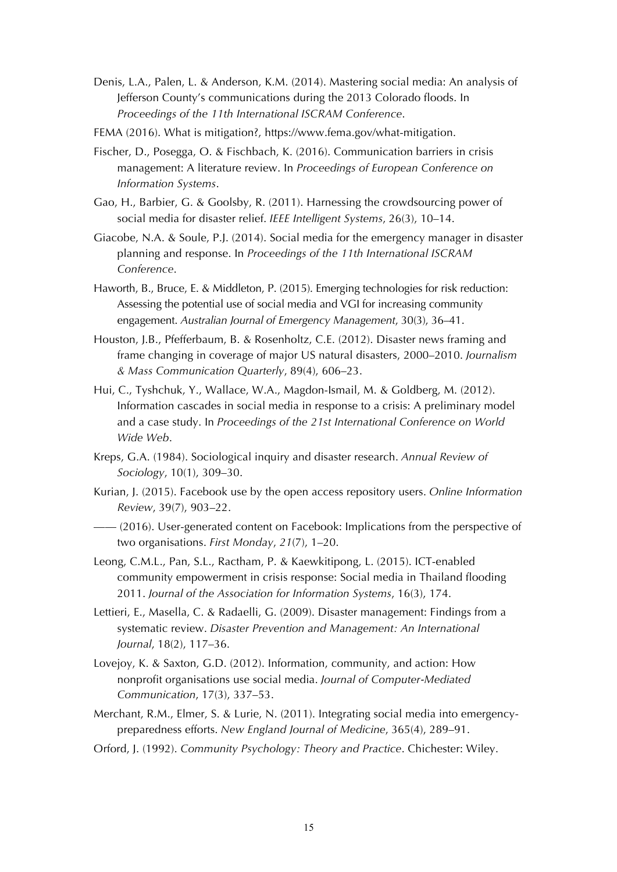- Denis, L.A., Palen, L. & Anderson, K.M. (2014). Mastering social media: An analysis of Jefferson County's communications during the 2013 Colorado floods. In *Proceedings of the 11th International ISCRAM Conference*.
- FEMA (2016). What is mitigation?,<https://www.fema.gov/what-mitigation>.
- Fischer, D., Posegga, O. & Fischbach, K. (2016). Communication barriers in crisis management: A literature review. In *Proceedings of European Conference on Information Systems*.
- Gao, H., Barbier, G. & Goolsby, R. (2011). Harnessing the crowdsourcing power of social media for disaster relief. *IEEE Intelligent Systems*, 26(3), 10–14.
- Giacobe, N.A. & Soule, P.J. (2014). Social media for the emergency manager in disaster planning and response. In *Proceedings of the 11th International ISCRAM Conference*.
- Haworth, B., Bruce, E. & Middleton, P. (2015). Emerging technologies for risk reduction: Assessing the potential use of social media and VGI for increasing community engagement. *Australian Journal of Emergency Management*, 30(3), 36–41.
- Houston, J.B., Pfefferbaum, B. & Rosenholtz, C.E. (2012). Disaster news framing and frame changing in coverage of major US natural disasters, 2000–2010. *Journalism & Mass Communication Quarterly*, 89(4), 606–23.
- Hui, C., Tyshchuk, Y., Wallace, W.A., Magdon-Ismail, M. & Goldberg, M. (2012). Information cascades in social media in response to a crisis: A preliminary model and a case study. In *Proceedings of the 21st International Conference on World Wide Web*.
- Kreps, G.A. (1984). Sociological inquiry and disaster research. *Annual Review of Sociology*, 10(1), 309–30.
- Kurian, J. (2015). Facebook use by the open access repository users. *Online Information Review*, 39(7), 903–22.
- —— (2016). User-generated content on Facebook: Implications from the perspective of two organisations. *First Monday*, *21*(7), 1–20.
- Leong, C.M.L., Pan, S.L., Ractham, P. & Kaewkitipong, L. (2015). ICT-enabled community empowerment in crisis response: Social media in Thailand flooding 2011. *Journal of the Association for Information Systems*, 16(3), 174.
- Lettieri, E., Masella, C. & Radaelli, G. (2009). Disaster management: Findings from a systematic review. *Disaster Prevention and Management: An International Journal*, 18(2), 117–36.
- Lovejoy, K. & Saxton, G.D. (2012). Information, community, and action: How nonprofit organisations use social media. *Journal of Computer*-*Mediated Communication*, 17(3), 337–53.
- Merchant, R.M., Elmer, S. & Lurie, N. (2011). Integrating social media into emergencypreparedness efforts. *New England Journal of Medicine*, 365(4), 289–91.
- Orford, J. (1992). *Community Psychology: Theory and Practice*. Chichester: Wiley.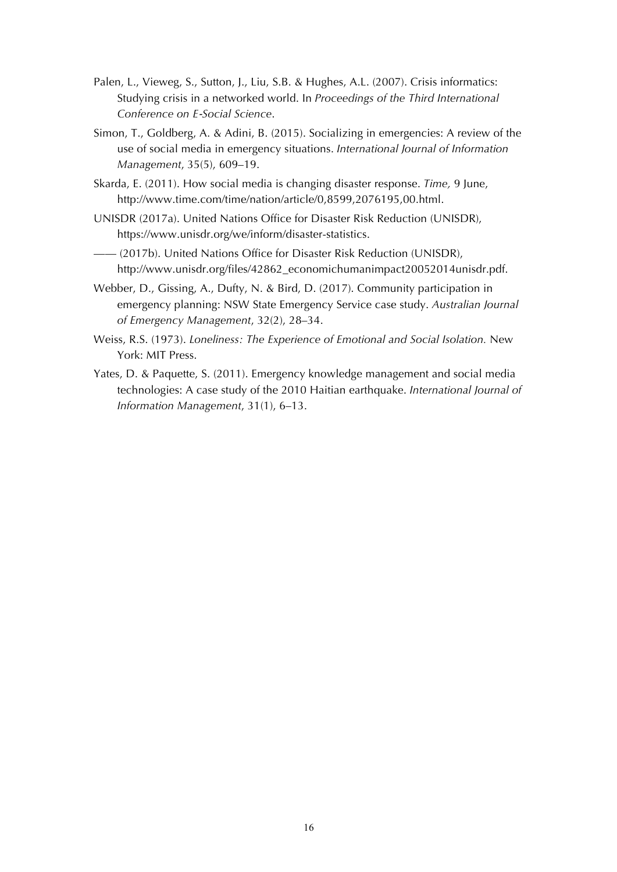- Palen, L., Vieweg, S., Sutton, J., Liu, S.B. & Hughes, A.L. (2007). Crisis informatics: Studying crisis in a networked world. In *Proceedings of the Third International Conference on E*-*Social Science*.
- Simon, T., Goldberg, A. & Adini, B. (2015). Socializing in emergencies: A review of the use of social media in emergency situations. *International Journal of Information Management*, 35(5), 609–19.
- Skarda, E. (2011). How social media is changing disaster response. *Time,* 9 June, http://www.time.com/time/nation/article/0,8599,2076195,00.html.
- UNISDR (2017a). United Nations Office for Disaster Risk Reduction (UNISDR), <https://www.unisdr.org/we/inform/disaster-statistics>.
- —— (2017b). United Nations Office for Disaster Risk Reduction (UNISDR), [http://www.unisdr.org/files/42862\\_economichumanimpact20052014unisdr.pdf](http://www.unisdr.org/files/42862_economichumanimpact20052014unisdr.pdf).
- Webber, D., Gissing, A., Dufty, N. & Bird, D. (2017). Community participation in emergency planning: NSW State Emergency Service case study. *Australian Journal of Emergency Management*, 32(2), 28–34.
- Weiss, R.S. (1973). *Loneliness: The Experience of Emotional and Social Isolation.* New York: MIT Press.
- Yates, D. & Paquette, S. (2011). Emergency knowledge management and social media technologies: A case study of the 2010 Haitian earthquake. *International Journal of Information Management*, 31(1), 6–13.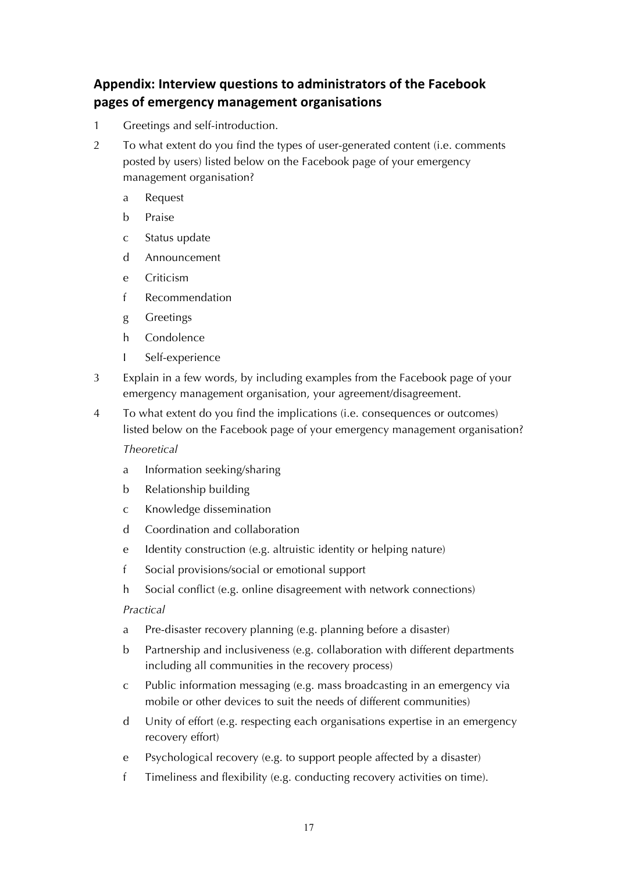## Appendix: Interview questions to administrators of the Facebook **pages of emergency management organisations**

- 1 Greetings and self-introduction.
- 2 To what extent do you find the types of user-generated content (i.e. comments posted by users) listed below on the Facebook page of your emergency management organisation?
	- a Request
	- b Praise
	- c Status update
	- d Announcement
	- e Criticism
	- f Recommendation
	- g Greetings
	- h Condolence
	- I Self-experience
- 3 Explain in a few words, by including examples from the Facebook page of your emergency management organisation, your agreement/disagreement.
- 4 To what extent do you find the implications (i.e. consequences or outcomes) listed below on the Facebook page of your emergency management organisation?

*Theoretical* 

- a Information seeking/sharing
- b Relationship building
- c Knowledge dissemination
- d Coordination and collaboration
- e Identity construction (e.g. altruistic identity or helping nature)
- f Social provisions/social or emotional support
- h Social conflict (e.g. online disagreement with network connections)

*Practical*

- a Pre-disaster recovery planning (e.g. planning before a disaster)
- b Partnership and inclusiveness (e.g. collaboration with different departments including all communities in the recovery process)
- c Public information messaging (e.g. mass broadcasting in an emergency via mobile or other devices to suit the needs of different communities)
- d Unity of effort (e.g. respecting each organisations expertise in an emergency recovery effort)
- e Psychological recovery (e.g. to support people affected by a disaster)
- f Timeliness and flexibility (e.g. conducting recovery activities on time).